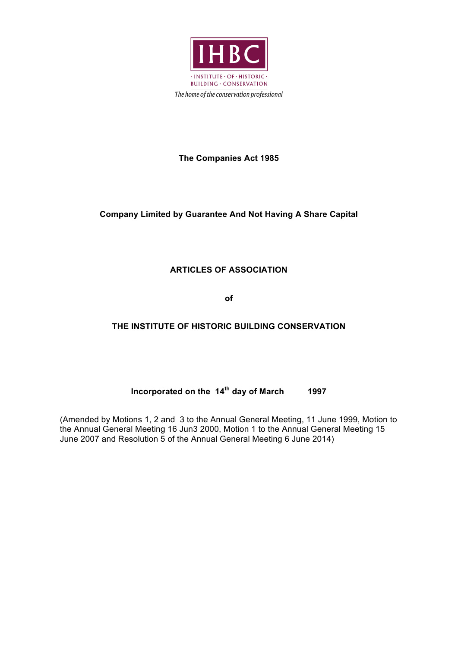

## **The Companies Act 1985**

## **Company Limited by Guarantee And Not Having A Share Capital**

## **ARTICLES OF ASSOCIATION**

**of**

## **THE INSTITUTE OF HISTORIC BUILDING CONSERVATION**

# **Incorporated on the 14th day of March 1997**

(Amended by Motions 1, 2 and 3 to the Annual General Meeting, 11 June 1999, Motion to the Annual General Meeting 16 Jun3 2000, Motion 1 to the Annual General Meeting 15 June 2007 and Resolution 5 of the Annual General Meeting 6 June 2014)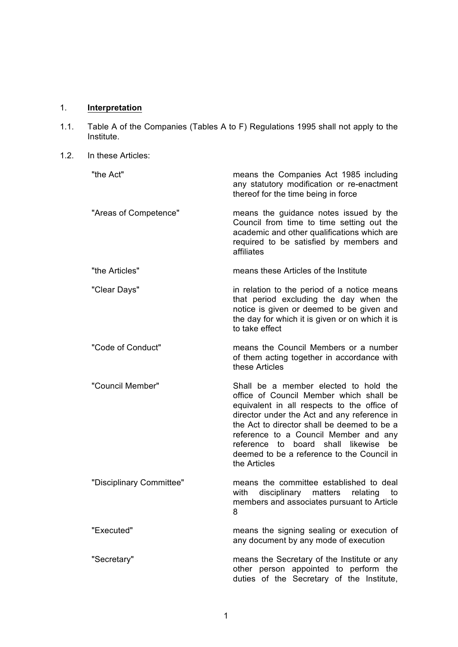# 1. **Interpretation**

- 1.1. Table A of the Companies (Tables A to F) Regulations 1995 shall not apply to the Institute.
- 1.2. In these Articles:

| "the Act"                | means the Companies Act 1985 including<br>any statutory modification or re-enactment<br>thereof for the time being in force                                                                                                                                                                                                                                                     |
|--------------------------|---------------------------------------------------------------------------------------------------------------------------------------------------------------------------------------------------------------------------------------------------------------------------------------------------------------------------------------------------------------------------------|
| "Areas of Competence"    | means the guidance notes issued by the<br>Council from time to time setting out the<br>academic and other qualifications which are<br>required to be satisfied by members and<br>affiliates                                                                                                                                                                                     |
| "the Articles"           | means these Articles of the Institute                                                                                                                                                                                                                                                                                                                                           |
| "Clear Days"             | in relation to the period of a notice means<br>that period excluding the day when the<br>notice is given or deemed to be given and<br>the day for which it is given or on which it is<br>to take effect                                                                                                                                                                         |
| "Code of Conduct"        | means the Council Members or a number<br>of them acting together in accordance with<br>these Articles                                                                                                                                                                                                                                                                           |
| "Council Member"         | Shall be a member elected to hold the<br>office of Council Member which shall be<br>equivalent in all respects to the office of<br>director under the Act and any reference in<br>the Act to director shall be deemed to be a<br>reference to a Council Member and any<br>reference to board shall likewise<br>be<br>deemed to be a reference to the Council in<br>the Articles |
| "Disciplinary Committee" | means the committee established to deal<br>with<br>disciplinary<br>matters<br>relating<br>to<br>members and associates pursuant to Article<br>8                                                                                                                                                                                                                                 |
| "Executed"               | means the signing sealing or execution of<br>any document by any mode of execution                                                                                                                                                                                                                                                                                              |
| "Secretary"              | means the Secretary of the Institute or any<br>other person appointed to perform the<br>duties of the Secretary of the Institute,                                                                                                                                                                                                                                               |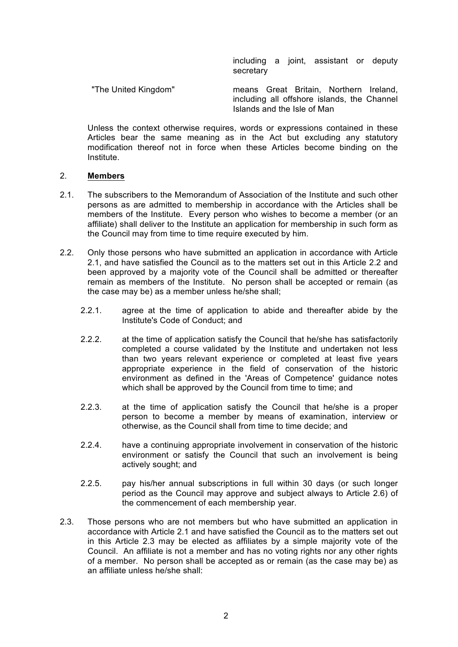including a joint, assistant or deputy secretary

"The United Kingdom" means Great Britain, Northern Ireland, including all offshore islands, the Channel Islands and the Isle of Man

Unless the context otherwise requires, words or expressions contained in these Articles bear the same meaning as in the Act but excluding any statutory modification thereof not in force when these Articles become binding on the Institute.

#### 2. **Members**

- 2.1. The subscribers to the Memorandum of Association of the Institute and such other persons as are admitted to membership in accordance with the Articles shall be members of the Institute. Every person who wishes to become a member (or an affiliate) shall deliver to the Institute an application for membership in such form as the Council may from time to time require executed by him.
- 2.2. Only those persons who have submitted an application in accordance with Article 2.1, and have satisfied the Council as to the matters set out in this Article 2.2 and been approved by a majority vote of the Council shall be admitted or thereafter remain as members of the Institute. No person shall be accepted or remain (as the case may be) as a member unless he/she shall;
	- 2.2.1. agree at the time of application to abide and thereafter abide by the Institute's Code of Conduct; and
	- 2.2.2. at the time of application satisfy the Council that he/she has satisfactorily completed a course validated by the Institute and undertaken not less than two years relevant experience or completed at least five years appropriate experience in the field of conservation of the historic environment as defined in the 'Areas of Competence' guidance notes which shall be approved by the Council from time to time; and
	- 2.2.3. at the time of application satisfy the Council that he/she is a proper person to become a member by means of examination, interview or otherwise, as the Council shall from time to time decide; and
	- 2.2.4. have a continuing appropriate involvement in conservation of the historic environment or satisfy the Council that such an involvement is being actively sought; and
	- 2.2.5. pay his/her annual subscriptions in full within 30 days (or such longer period as the Council may approve and subject always to Article 2.6) of the commencement of each membership year.
- 2.3. Those persons who are not members but who have submitted an application in accordance with Article 2.1 and have satisfied the Council as to the matters set out in this Article 2.3 may be elected as affiliates by a simple majority vote of the Council. An affiliate is not a member and has no voting rights nor any other rights of a member. No person shall be accepted as or remain (as the case may be) as an affiliate unless he/she shall: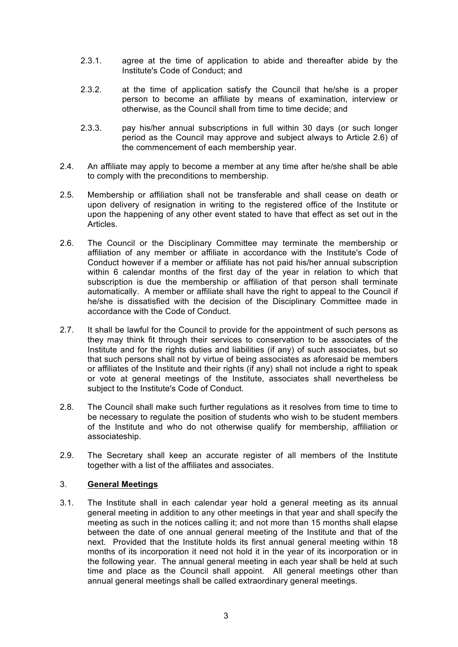- 2.3.1. agree at the time of application to abide and thereafter abide by the Institute's Code of Conduct; and
- 2.3.2. at the time of application satisfy the Council that he/she is a proper person to become an affiliate by means of examination, interview or otherwise, as the Council shall from time to time decide; and
- 2.3.3. pay his/her annual subscriptions in full within 30 days (or such longer period as the Council may approve and subject always to Article 2.6) of the commencement of each membership year.
- 2.4. An affiliate may apply to become a member at any time after he/she shall be able to comply with the preconditions to membership.
- 2.5. Membership or affiliation shall not be transferable and shall cease on death or upon delivery of resignation in writing to the registered office of the Institute or upon the happening of any other event stated to have that effect as set out in the **Articles**
- 2.6. The Council or the Disciplinary Committee may terminate the membership or affiliation of any member or affiliate in accordance with the Institute's Code of Conduct however if a member or affiliate has not paid his/her annual subscription within 6 calendar months of the first day of the year in relation to which that subscription is due the membership or affiliation of that person shall terminate automatically. A member or affiliate shall have the right to appeal to the Council if he/she is dissatisfied with the decision of the Disciplinary Committee made in accordance with the Code of Conduct.
- 2.7. It shall be lawful for the Council to provide for the appointment of such persons as they may think fit through their services to conservation to be associates of the Institute and for the rights duties and liabilities (if any) of such associates, but so that such persons shall not by virtue of being associates as aforesaid be members or affiliates of the Institute and their rights (if any) shall not include a right to speak or vote at general meetings of the Institute, associates shall nevertheless be subject to the Institute's Code of Conduct.
- 2.8. The Council shall make such further regulations as it resolves from time to time to be necessary to regulate the position of students who wish to be student members of the Institute and who do not otherwise qualify for membership, affiliation or associateship.
- 2.9. The Secretary shall keep an accurate register of all members of the Institute together with a list of the affiliates and associates.

### 3. **General Meetings**

3.1. The Institute shall in each calendar year hold a general meeting as its annual general meeting in addition to any other meetings in that year and shall specify the meeting as such in the notices calling it; and not more than 15 months shall elapse between the date of one annual general meeting of the Institute and that of the next. Provided that the Institute holds its first annual general meeting within 18 months of its incorporation it need not hold it in the year of its incorporation or in the following year. The annual general meeting in each year shall be held at such time and place as the Council shall appoint. All general meetings other than annual general meetings shall be called extraordinary general meetings.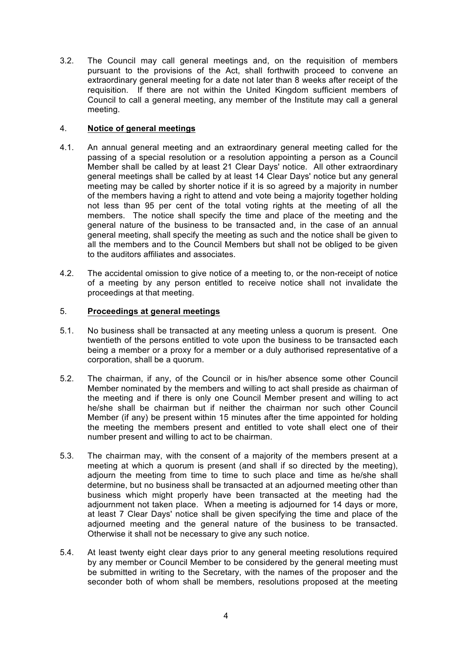3.2. The Council may call general meetings and, on the requisition of members pursuant to the provisions of the Act, shall forthwith proceed to convene an extraordinary general meeting for a date not later than 8 weeks after receipt of the requisition. If there are not within the United Kingdom sufficient members of Council to call a general meeting, any member of the Institute may call a general meeting.

### 4. **Notice of general meetings**

- 4.1. An annual general meeting and an extraordinary general meeting called for the passing of a special resolution or a resolution appointing a person as a Council Member shall be called by at least 21 Clear Days' notice. All other extraordinary general meetings shall be called by at least 14 Clear Days' notice but any general meeting may be called by shorter notice if it is so agreed by a majority in number of the members having a right to attend and vote being a majority together holding not less than 95 per cent of the total voting rights at the meeting of all the members. The notice shall specify the time and place of the meeting and the general nature of the business to be transacted and, in the case of an annual general meeting, shall specify the meeting as such and the notice shall be given to all the members and to the Council Members but shall not be obliged to be given to the auditors affiliates and associates.
- 4.2. The accidental omission to give notice of a meeting to, or the non-receipt of notice of a meeting by any person entitled to receive notice shall not invalidate the proceedings at that meeting.

### 5. **Proceedings at general meetings**

- 5.1. No business shall be transacted at any meeting unless a quorum is present. One twentieth of the persons entitled to vote upon the business to be transacted each being a member or a proxy for a member or a duly authorised representative of a corporation, shall be a quorum.
- 5.2. The chairman, if any, of the Council or in his/her absence some other Council Member nominated by the members and willing to act shall preside as chairman of the meeting and if there is only one Council Member present and willing to act he/she shall be chairman but if neither the chairman nor such other Council Member (if any) be present within 15 minutes after the time appointed for holding the meeting the members present and entitled to vote shall elect one of their number present and willing to act to be chairman.
- 5.3. The chairman may, with the consent of a majority of the members present at a meeting at which a quorum is present (and shall if so directed by the meeting), adjourn the meeting from time to time to such place and time as he/she shall determine, but no business shall be transacted at an adjourned meeting other than business which might properly have been transacted at the meeting had the adjournment not taken place. When a meeting is adjourned for 14 days or more, at least 7 Clear Days' notice shall be given specifying the time and place of the adjourned meeting and the general nature of the business to be transacted. Otherwise it shall not be necessary to give any such notice.
- 5.4. At least twenty eight clear days prior to any general meeting resolutions required by any member or Council Member to be considered by the general meeting must be submitted in writing to the Secretary, with the names of the proposer and the seconder both of whom shall be members, resolutions proposed at the meeting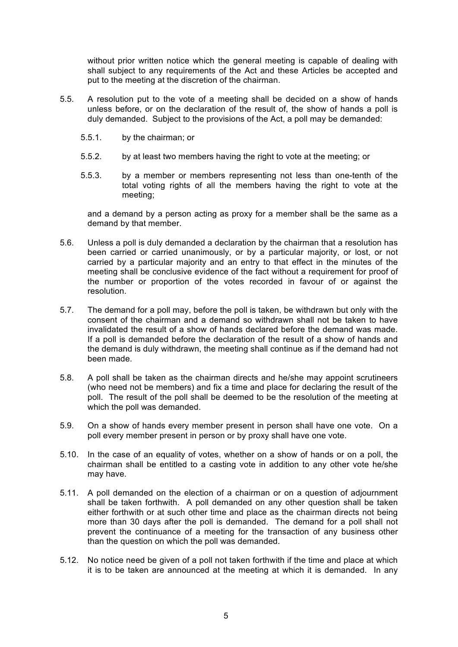without prior written notice which the general meeting is capable of dealing with shall subject to any requirements of the Act and these Articles be accepted and put to the meeting at the discretion of the chairman.

- 5.5. A resolution put to the vote of a meeting shall be decided on a show of hands unless before, or on the declaration of the result of, the show of hands a poll is duly demanded. Subject to the provisions of the Act, a poll may be demanded:
	- 5.5.1. by the chairman; or
	- 5.5.2. by at least two members having the right to vote at the meeting; or
	- 5.5.3. by a member or members representing not less than one-tenth of the total voting rights of all the members having the right to vote at the meeting;

and a demand by a person acting as proxy for a member shall be the same as a demand by that member.

- 5.6. Unless a poll is duly demanded a declaration by the chairman that a resolution has been carried or carried unanimously, or by a particular majority, or lost, or not carried by a particular majority and an entry to that effect in the minutes of the meeting shall be conclusive evidence of the fact without a requirement for proof of the number or proportion of the votes recorded in favour of or against the resolution.
- 5.7. The demand for a poll may, before the poll is taken, be withdrawn but only with the consent of the chairman and a demand so withdrawn shall not be taken to have invalidated the result of a show of hands declared before the demand was made. If a poll is demanded before the declaration of the result of a show of hands and the demand is duly withdrawn, the meeting shall continue as if the demand had not been made.
- 5.8. A poll shall be taken as the chairman directs and he/she may appoint scrutineers (who need not be members) and fix a time and place for declaring the result of the poll. The result of the poll shall be deemed to be the resolution of the meeting at which the poll was demanded.
- 5.9. On a show of hands every member present in person shall have one vote. On a poll every member present in person or by proxy shall have one vote.
- 5.10. In the case of an equality of votes, whether on a show of hands or on a poll, the chairman shall be entitled to a casting vote in addition to any other vote he/she may have.
- 5.11. A poll demanded on the election of a chairman or on a question of adjournment shall be taken forthwith. A poll demanded on any other question shall be taken either forthwith or at such other time and place as the chairman directs not being more than 30 days after the poll is demanded. The demand for a poll shall not prevent the continuance of a meeting for the transaction of any business other than the question on which the poll was demanded.
- 5.12. No notice need be given of a poll not taken forthwith if the time and place at which it is to be taken are announced at the meeting at which it is demanded. In any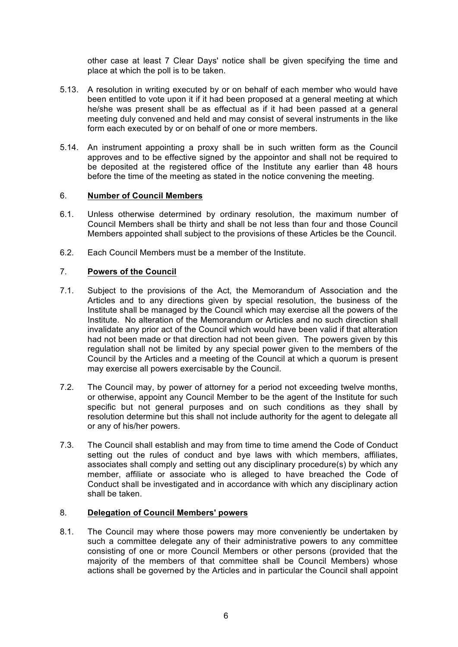other case at least 7 Clear Days' notice shall be given specifying the time and place at which the poll is to be taken.

- 5.13. A resolution in writing executed by or on behalf of each member who would have been entitled to vote upon it if it had been proposed at a general meeting at which he/she was present shall be as effectual as if it had been passed at a general meeting duly convened and held and may consist of several instruments in the like form each executed by or on behalf of one or more members.
- 5.14. An instrument appointing a proxy shall be in such written form as the Council approves and to be effective signed by the appointor and shall not be required to be deposited at the registered office of the Institute any earlier than 48 hours before the time of the meeting as stated in the notice convening the meeting.

#### 6. **Number of Council Members**

- 6.1. Unless otherwise determined by ordinary resolution, the maximum number of Council Members shall be thirty and shall be not less than four and those Council Members appointed shall subject to the provisions of these Articles be the Council.
- 6.2. Each Council Members must be a member of the Institute.

### 7. **Powers of the Council**

- 7.1. Subject to the provisions of the Act, the Memorandum of Association and the Articles and to any directions given by special resolution, the business of the Institute shall be managed by the Council which may exercise all the powers of the Institute. No alteration of the Memorandum or Articles and no such direction shall invalidate any prior act of the Council which would have been valid if that alteration had not been made or that direction had not been given. The powers given by this regulation shall not be limited by any special power given to the members of the Council by the Articles and a meeting of the Council at which a quorum is present may exercise all powers exercisable by the Council.
- 7.2. The Council may, by power of attorney for a period not exceeding twelve months, or otherwise, appoint any Council Member to be the agent of the Institute for such specific but not general purposes and on such conditions as they shall by resolution determine but this shall not include authority for the agent to delegate all or any of his/her powers.
- 7.3. The Council shall establish and may from time to time amend the Code of Conduct setting out the rules of conduct and bye laws with which members, affiliates, associates shall comply and setting out any disciplinary procedure(s) by which any member, affiliate or associate who is alleged to have breached the Code of Conduct shall be investigated and in accordance with which any disciplinary action shall be taken.

### 8. **Delegation of Council Members' powers**

8.1. The Council may where those powers may more conveniently be undertaken by such a committee delegate any of their administrative powers to any committee consisting of one or more Council Members or other persons (provided that the majority of the members of that committee shall be Council Members) whose actions shall be governed by the Articles and in particular the Council shall appoint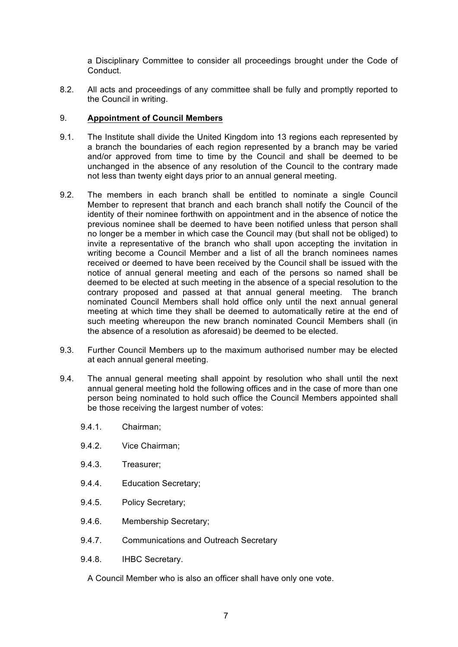a Disciplinary Committee to consider all proceedings brought under the Code of Conduct.

8.2. All acts and proceedings of any committee shall be fully and promptly reported to the Council in writing.

#### 9. **Appointment of Council Members**

- 9.1. The Institute shall divide the United Kingdom into 13 regions each represented by a branch the boundaries of each region represented by a branch may be varied and/or approved from time to time by the Council and shall be deemed to be unchanged in the absence of any resolution of the Council to the contrary made not less than twenty eight days prior to an annual general meeting.
- 9.2. The members in each branch shall be entitled to nominate a single Council Member to represent that branch and each branch shall notify the Council of the identity of their nominee forthwith on appointment and in the absence of notice the previous nominee shall be deemed to have been notified unless that person shall no longer be a member in which case the Council may (but shall not be obliged) to invite a representative of the branch who shall upon accepting the invitation in writing become a Council Member and a list of all the branch nominees names received or deemed to have been received by the Council shall be issued with the notice of annual general meeting and each of the persons so named shall be deemed to be elected at such meeting in the absence of a special resolution to the contrary proposed and passed at that annual general meeting. The branch nominated Council Members shall hold office only until the next annual general meeting at which time they shall be deemed to automatically retire at the end of such meeting whereupon the new branch nominated Council Members shall (in the absence of a resolution as aforesaid) be deemed to be elected.
- 9.3. Further Council Members up to the maximum authorised number may be elected at each annual general meeting.
- 9.4. The annual general meeting shall appoint by resolution who shall until the next annual general meeting hold the following offices and in the case of more than one person being nominated to hold such office the Council Members appointed shall be those receiving the largest number of votes:
	- 9.4.1. Chairman;
	- 9.4.2. Vice Chairman;
	- 9.4.3. Treasurer;
	- 9.4.4. Education Secretary;
	- 9.4.5. Policy Secretary;
	- 9.4.6. Membership Secretary;
	- 9.4.7. Communications and Outreach Secretary
	- 9.4.8. IHBC Secretary.
		- A Council Member who is also an officer shall have only one vote.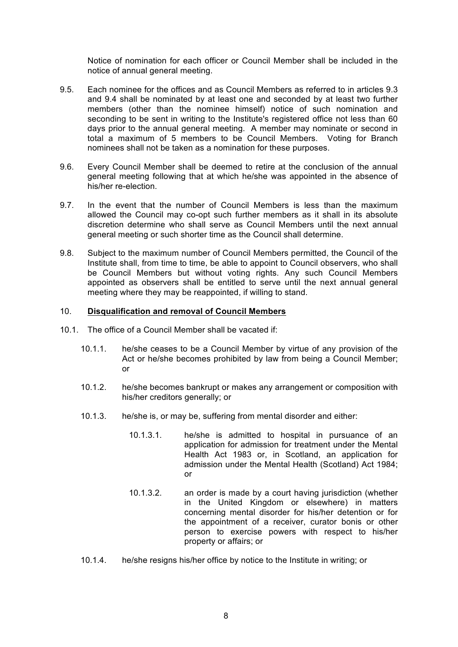Notice of nomination for each officer or Council Member shall be included in the notice of annual general meeting.

- 9.5. Each nominee for the offices and as Council Members as referred to in articles 9.3 and 9.4 shall be nominated by at least one and seconded by at least two further members (other than the nominee himself) notice of such nomination and seconding to be sent in writing to the Institute's registered office not less than 60 days prior to the annual general meeting. A member may nominate or second in total a maximum of 5 members to be Council Members. Voting for Branch nominees shall not be taken as a nomination for these purposes.
- 9.6. Every Council Member shall be deemed to retire at the conclusion of the annual general meeting following that at which he/she was appointed in the absence of his/her re-election.
- 9.7. In the event that the number of Council Members is less than the maximum allowed the Council may co-opt such further members as it shall in its absolute discretion determine who shall serve as Council Members until the next annual general meeting or such shorter time as the Council shall determine.
- 9.8. Subject to the maximum number of Council Members permitted, the Council of the Institute shall, from time to time, be able to appoint to Council observers, who shall be Council Members but without voting rights. Any such Council Members appointed as observers shall be entitled to serve until the next annual general meeting where they may be reappointed, if willing to stand.

#### 10. **Disqualification and removal of Council Members**

- 10.1. The office of a Council Member shall be vacated if:
	- 10.1.1. he/she ceases to be a Council Member by virtue of any provision of the Act or he/she becomes prohibited by law from being a Council Member; or
	- 10.1.2. he/she becomes bankrupt or makes any arrangement or composition with his/her creditors generally; or
	- 10.1.3. he/she is, or may be, suffering from mental disorder and either:
		- 10.1.3.1. he/she is admitted to hospital in pursuance of an application for admission for treatment under the Mental Health Act 1983 or, in Scotland, an application for admission under the Mental Health (Scotland) Act 1984;  $\alpha$ r
		- 10.1.3.2. an order is made by a court having jurisdiction (whether in the United Kingdom or elsewhere) in matters concerning mental disorder for his/her detention or for the appointment of a receiver, curator bonis or other person to exercise powers with respect to his/her property or affairs; or
	- 10.1.4. he/she resigns his/her office by notice to the Institute in writing; or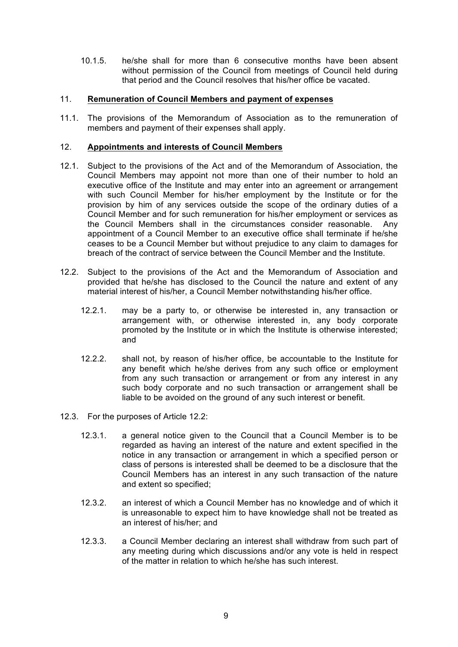10.1.5. he/she shall for more than 6 consecutive months have been absent without permission of the Council from meetings of Council held during that period and the Council resolves that his/her office be vacated.

#### 11. **Remuneration of Council Members and payment of expenses**

11.1. The provisions of the Memorandum of Association as to the remuneration of members and payment of their expenses shall apply.

#### 12. **Appointments and interests of Council Members**

- 12.1. Subject to the provisions of the Act and of the Memorandum of Association, the Council Members may appoint not more than one of their number to hold an executive office of the Institute and may enter into an agreement or arrangement with such Council Member for his/her employment by the Institute or for the provision by him of any services outside the scope of the ordinary duties of a Council Member and for such remuneration for his/her employment or services as the Council Members shall in the circumstances consider reasonable. Any appointment of a Council Member to an executive office shall terminate if he/she ceases to be a Council Member but without prejudice to any claim to damages for breach of the contract of service between the Council Member and the Institute.
- 12.2. Subject to the provisions of the Act and the Memorandum of Association and provided that he/she has disclosed to the Council the nature and extent of any material interest of his/her, a Council Member notwithstanding his/her office.
	- 12.2.1. may be a party to, or otherwise be interested in, any transaction or arrangement with, or otherwise interested in, any body corporate promoted by the Institute or in which the Institute is otherwise interested; and
	- 12.2.2. shall not, by reason of his/her office, be accountable to the Institute for any benefit which he/she derives from any such office or employment from any such transaction or arrangement or from any interest in any such body corporate and no such transaction or arrangement shall be liable to be avoided on the ground of any such interest or benefit.
- 12.3. For the purposes of Article 12.2:
	- 12.3.1. a general notice given to the Council that a Council Member is to be regarded as having an interest of the nature and extent specified in the notice in any transaction or arrangement in which a specified person or class of persons is interested shall be deemed to be a disclosure that the Council Members has an interest in any such transaction of the nature and extent so specified;
	- 12.3.2. an interest of which a Council Member has no knowledge and of which it is unreasonable to expect him to have knowledge shall not be treated as an interest of his/her; and
	- 12.3.3. a Council Member declaring an interest shall withdraw from such part of any meeting during which discussions and/or any vote is held in respect of the matter in relation to which he/she has such interest.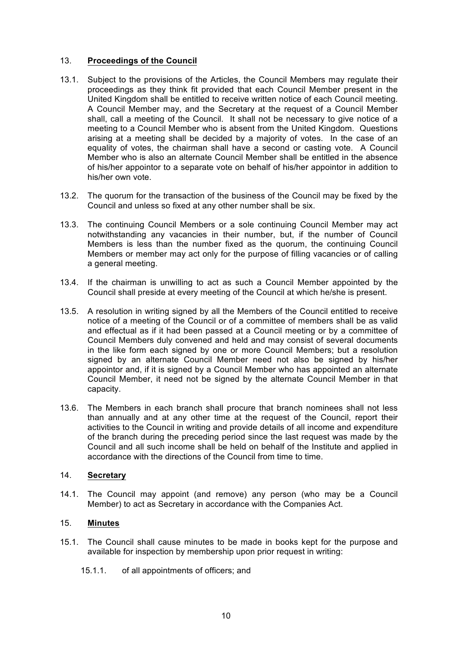### 13. **Proceedings of the Council**

- 13.1. Subject to the provisions of the Articles, the Council Members may regulate their proceedings as they think fit provided that each Council Member present in the United Kingdom shall be entitled to receive written notice of each Council meeting. A Council Member may, and the Secretary at the request of a Council Member shall, call a meeting of the Council. It shall not be necessary to give notice of a meeting to a Council Member who is absent from the United Kingdom. Questions arising at a meeting shall be decided by a majority of votes. In the case of an equality of votes, the chairman shall have a second or casting vote. A Council Member who is also an alternate Council Member shall be entitled in the absence of his/her appointor to a separate vote on behalf of his/her appointor in addition to his/her own vote.
- 13.2. The quorum for the transaction of the business of the Council may be fixed by the Council and unless so fixed at any other number shall be six.
- 13.3. The continuing Council Members or a sole continuing Council Member may act notwithstanding any vacancies in their number, but, if the number of Council Members is less than the number fixed as the quorum, the continuing Council Members or member may act only for the purpose of filling vacancies or of calling a general meeting.
- 13.4. If the chairman is unwilling to act as such a Council Member appointed by the Council shall preside at every meeting of the Council at which he/she is present.
- 13.5. A resolution in writing signed by all the Members of the Council entitled to receive notice of a meeting of the Council or of a committee of members shall be as valid and effectual as if it had been passed at a Council meeting or by a committee of Council Members duly convened and held and may consist of several documents in the like form each signed by one or more Council Members; but a resolution signed by an alternate Council Member need not also be signed by his/her appointor and, if it is signed by a Council Member who has appointed an alternate Council Member, it need not be signed by the alternate Council Member in that capacity.
- 13.6. The Members in each branch shall procure that branch nominees shall not less than annually and at any other time at the request of the Council, report their activities to the Council in writing and provide details of all income and expenditure of the branch during the preceding period since the last request was made by the Council and all such income shall be held on behalf of the Institute and applied in accordance with the directions of the Council from time to time.

### 14. **Secretary**

14.1. The Council may appoint (and remove) any person (who may be a Council Member) to act as Secretary in accordance with the Companies Act.

## 15. **Minutes**

- 15.1. The Council shall cause minutes to be made in books kept for the purpose and available for inspection by membership upon prior request in writing:
	- 15.1.1. of all appointments of officers; and